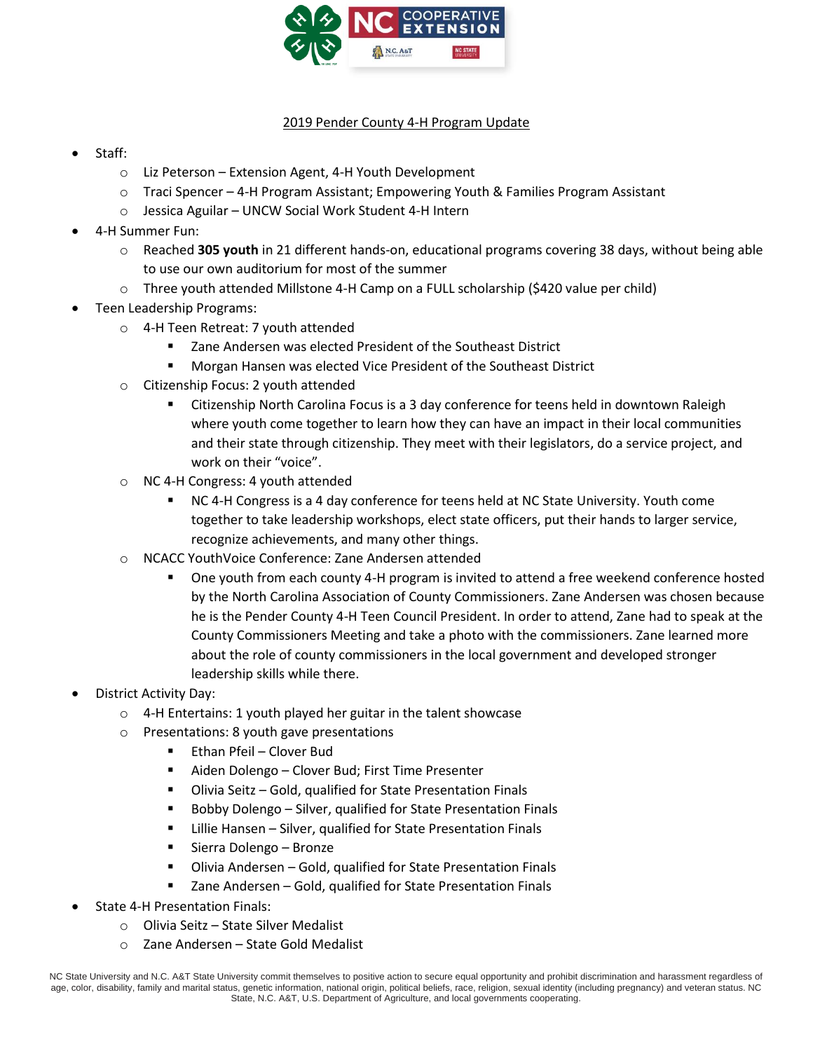

## 2019 Pender County 4-H Program Update

- Staff:
	- o Liz Peterson Extension Agent, 4-H Youth Development
	- $\circ$  Traci Spencer 4-H Program Assistant; Empowering Youth & Families Program Assistant
	- o Jessica Aguilar UNCW Social Work Student 4-H Intern
- 4-H Summer Fun:
	- o Reached **305 youth** in 21 different hands-on, educational programs covering 38 days, without being able to use our own auditorium for most of the summer
	- o Three youth attended Millstone 4-H Camp on a FULL scholarship (\$420 value per child)
- Teen Leadership Programs:
	- o 4-H Teen Retreat: 7 youth attended
		- Zane Andersen was elected President of the Southeast District
		- Morgan Hansen was elected Vice President of the Southeast District
	- o Citizenship Focus: 2 youth attended
		- Citizenship North Carolina Focus is a 3 day conference for teens held in downtown Raleigh where youth come together to learn how they can have an impact in their local communities and their state through citizenship. They meet with their legislators, do a service project, and work on their "voice".
	- o NC 4-H Congress: 4 youth attended
		- NC 4-H Congress is a 4 day conference for teens held at NC State University. Youth come together to take leadership workshops, elect state officers, put their hands to larger service, recognize achievements, and many other things.
	- o NCACC YouthVoice Conference: Zane Andersen attended
		- One youth from each county 4-H program is invited to attend a free weekend conference hosted by the North Carolina Association of County Commissioners. Zane Andersen was chosen because he is the Pender County 4-H Teen Council President. In order to attend, Zane had to speak at the County Commissioners Meeting and take a photo with the commissioners. Zane learned more about the role of county commissioners in the local government and developed stronger leadership skills while there.
- District Activity Day:
	- $\circ$  4-H Entertains: 1 youth played her guitar in the talent showcase
	- o Presentations: 8 youth gave presentations
		- Ethan Pfeil Clover Bud
		- Aiden Dolengo Clover Bud; First Time Presenter
		- Olivia Seitz Gold, qualified for State Presentation Finals
		- Bobby Dolengo Silver, qualified for State Presentation Finals
		- Lillie Hansen Silver, qualified for State Presentation Finals
		- Sierra Dolengo Bronze
		- Olivia Andersen Gold, qualified for State Presentation Finals
		- Zane Andersen Gold, qualified for State Presentation Finals
- State 4-H Presentation Finals:
	- o Olivia Seitz State Silver Medalist
	- o Zane Andersen State Gold Medalist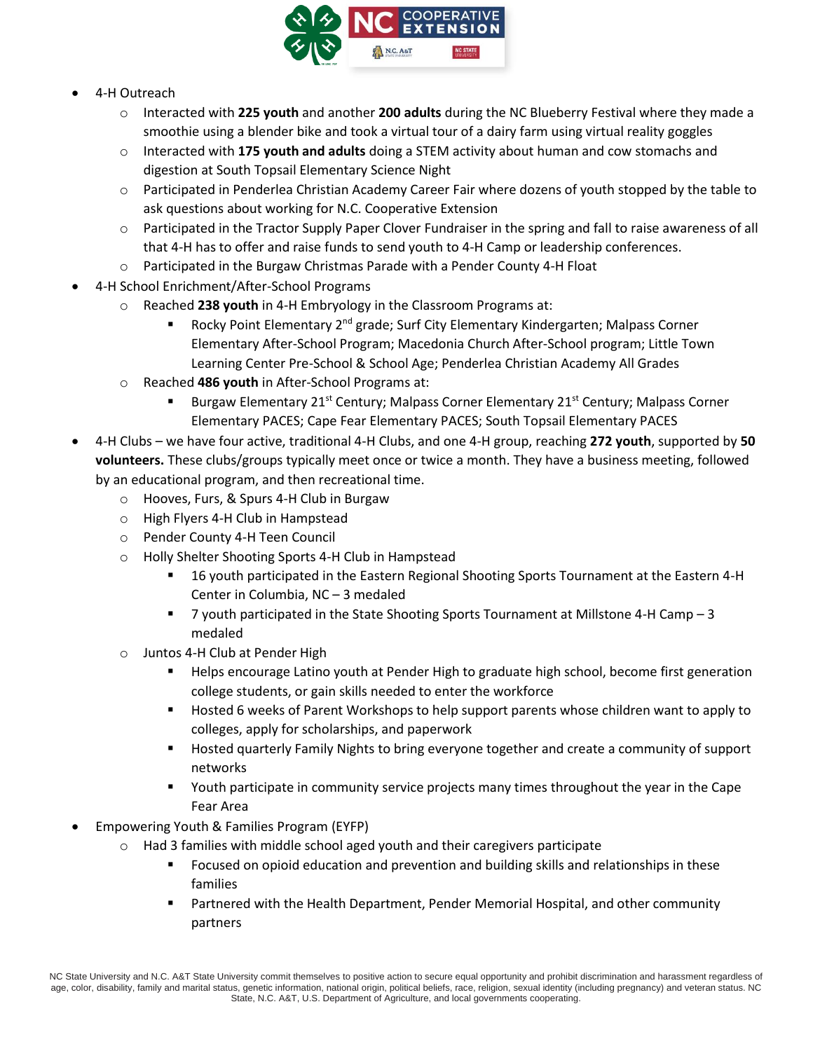

- 4-H Outreach
	- o Interacted with **225 youth** and another **200 adults** during the NC Blueberry Festival where they made a smoothie using a blender bike and took a virtual tour of a dairy farm using virtual reality goggles
	- o Interacted with **175 youth and adults** doing a STEM activity about human and cow stomachs and digestion at South Topsail Elementary Science Night
	- $\circ$  Participated in Penderlea Christian Academy Career Fair where dozens of youth stopped by the table to ask questions about working for N.C. Cooperative Extension
	- $\circ$  Participated in the Tractor Supply Paper Clover Fundraiser in the spring and fall to raise awareness of all that 4-H has to offer and raise funds to send youth to 4-H Camp or leadership conferences.
	- o Participated in the Burgaw Christmas Parade with a Pender County 4-H Float
- 4-H School Enrichment/After-School Programs
	- o Reached **238 youth** in 4-H Embryology in the Classroom Programs at:
		- Rocky Point Elementary 2<sup>nd</sup> grade; Surf City Elementary Kindergarten; Malpass Corner Elementary After-School Program; Macedonia Church After-School program; Little Town Learning Center Pre-School & School Age; Penderlea Christian Academy All Grades
	- o Reached **486 youth** in After-School Programs at:
		- Burgaw Elementary 21<sup>st</sup> Century; Malpass Corner Elementary 21<sup>st</sup> Century; Malpass Corner Elementary PACES; Cape Fear Elementary PACES; South Topsail Elementary PACES
- 4-H Clubs we have four active, traditional 4-H Clubs, and one 4-H group, reaching **272 youth**, supported by **50 volunteers.** These clubs/groups typically meet once or twice a month. They have a business meeting, followed by an educational program, and then recreational time.
	- o Hooves, Furs, & Spurs 4-H Club in Burgaw
	- o High Flyers 4-H Club in Hampstead
	- o Pender County 4-H Teen Council
	- o Holly Shelter Shooting Sports 4-H Club in Hampstead
		- 16 youth participated in the Eastern Regional Shooting Sports Tournament at the Eastern 4-H Center in Columbia, NC – 3 medaled
		- 7 youth participated in the State Shooting Sports Tournament at Millstone 4-H Camp 3 medaled
	- o Juntos 4-H Club at Pender High
		- Helps encourage Latino youth at Pender High to graduate high school, become first generation college students, or gain skills needed to enter the workforce
		- Hosted 6 weeks of Parent Workshops to help support parents whose children want to apply to colleges, apply for scholarships, and paperwork
		- Hosted quarterly Family Nights to bring everyone together and create a community of support networks
		- Youth participate in community service projects many times throughout the year in the Cape Fear Area
- Empowering Youth & Families Program (EYFP)
	- o Had 3 families with middle school aged youth and their caregivers participate
		- Focused on opioid education and prevention and building skills and relationships in these families
		- Partnered with the Health Department, Pender Memorial Hospital, and other community partners